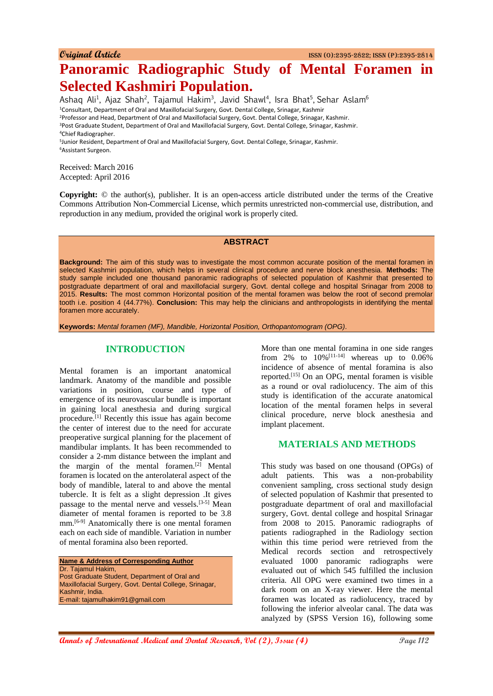**Original Article** ISSN (O):2395-2822; ISSN (P):2395-2814

# **Panoramic Radiographic Study of Mental Foramen in Selected Kashmiri Population.**

Ashaq Ali<sup>1</sup>, Ajaz Shah<sup>2</sup>, Tajamul Hakim<sup>3</sup>, Javid Shawl<sup>4</sup>, Isra Bhat<sup>5</sup>, Sehar Aslam<sup>6</sup> <sup>1</sup>Consultant, Department of Oral and Maxillofacial Surgery, Govt. Dental College, Srinagar, Kashmir <sup>2</sup>Professor and Head, Department of Oral and Maxillofacial Surgery, Govt. Dental College, Srinagar, Kashmir.

<sup>3</sup>Post Graduate Student, Department of Oral and Maxillofacial Surgery, Govt. Dental College, Srinagar, Kashmir.

<sup>4</sup>Chief Radiographer.

5 Junior Resident, Department of Oral and Maxillofacial Surgery, Govt. Dental College, Srinagar, Kashmir. <sup>6</sup>Assistant Surgeon.

Received: March 2016 Accepted: April 2016

**Copyright:** © the author(s), publisher. It is an open-access article distributed under the terms of the Creative Commons Attribution Non-Commercial License, which permits unrestricted non-commercial use, distribution, and reproduction in any medium, provided the original work is properly cited.

## **ABSTRACT**

**Background:** The aim of this study was to investigate the most common accurate position of the mental foramen in selected Kashmiri population, which helps in several clinical procedure and nerve block anesthesia. **Methods:** The study sample included one thousand panoramic radiographs of selected population of Kashmir that presented to postgraduate department of oral and maxillofacial surgery, Govt. dental college and hospital Srinagar from 2008 to 2015. **Results:** The most common Horizontal position of the mental foramen was below the root of second premolar tooth i.e. position 4 (44.77%). **Conclusion:** This may help the clinicians and anthropologists in identifying the mental foramen more accurately.

**Keywords:** *Mental foramen (MF), Mandible, Horizontal Position, Orthopantomogram (OPG).*

# **INTRODUCTION**

Mental foramen is an important anatomical landmark. Anatomy of the mandible and possible variations in position, course and type of emergence of its neurovascular bundle is important in gaining local anesthesia and during surgical procedure.[1] Recently this issue has again become the center of interest due to the need for accurate preoperative surgical planning for the placement of mandibular implants. It has been recommended to consider a 2-mm distance between the implant and the margin of the mental foramen.<sup>[2]</sup> Mental foramen is located on the anterolateral aspect of the body of mandible, lateral to and above the mental tubercle. It is felt as a slight depression .It gives passage to the mental nerve and vessels.[3-5] Mean diameter of mental foramen is reported to be 3.8 mm.[6-9] Anatomically there is one mental foramen each on each side of mandible. Variation in number of mental foramina also been reported.

**Name & Address of Corresponding Author** Dr. Tajamul Hakim, Post Graduate Student, Department of Oral and Maxillofacial Surgery, Govt. Dental College, Srinagar, Kashmir, India. E-mail: tajamulhakim91@gmail.com

More than one mental foramina in one side ranges from 2% to  $10\%$ <sup>[11-14]</sup> whereas up to  $0.06\%$ incidence of absence of mental foramina is also reported.[15] On an OPG, mental foramen is visible as a round or oval radiolucency. The aim of this study is identification of the accurate anatomical location of the mental foramen helps in several clinical procedure, nerve block anesthesia and implant placement.

# **MATERIALS AND METHODS**

This study was based on one thousand (OPGs) of adult patients. This was a non-probability convenient sampling, cross sectional study design of selected population of Kashmir that presented to postgraduate department of oral and maxillofacial surgery, Govt. dental college and hospital Srinagar from 2008 to 2015. Panoramic radiographs of patients radiographed in the Radiology section within this time period were retrieved from the Medical records section and retrospectively evaluated 1000 panoramic radiographs were evaluated out of which 545 fulfilled the inclusion criteria. All OPG were examined two times in a dark room on an X-ray viewer. Here the mental foramen was located as radiolucency, traced by following the inferior alveolar canal. The data was analyzed by (SPSS Version 16), following some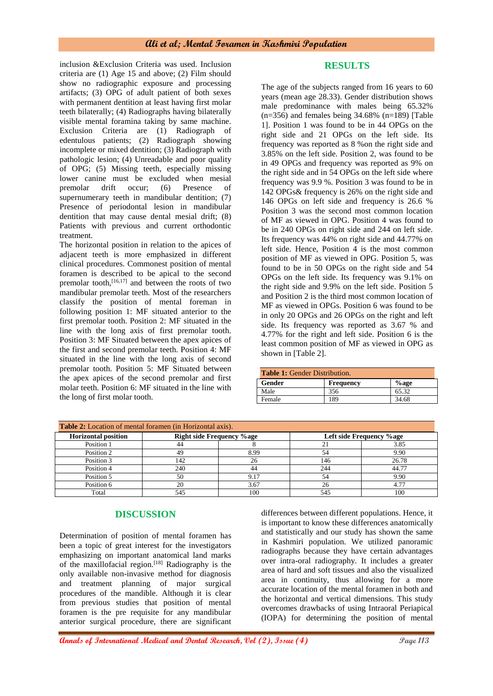inclusion &Exclusion Criteria was used. Inclusion criteria are (1) Age 15 and above; (2) Film should show no radiographic exposure and processing artifacts; (3) OPG of adult patient of both sexes with permanent dentition at least having first molar teeth bilaterally; (4) Radiographs having bilaterally visible mental foramina taking by same machine. Exclusion Criteria are (1) Radiograph of edentulous patients; (2) Radiograph showing incomplete or mixed dentition; (3) Radiograph with pathologic lesion; (4) Unreadable and poor quality of OPG; (5) Missing teeth, especially missing lower canine must be excluded when mesial premolar drift occur; (6) Presence of supernumerary teeth in mandibular dentition: (7) Presence of periodontal lesion in mandibular dentition that may cause dental mesial drift; (8) Patients with previous and current orthodontic treatment.

The horizontal position in relation to the apices of adjacent teeth is more emphasized in different clinical procedures. Commonest position of mental foramen is described to be apical to the second premolar tooth, $[16,17]$  and between the roots of two mandibular premolar teeth. Most of the researchers classify the position of mental foreman in following position 1: MF situated anterior to the first premolar tooth. Position 2: MF situated in the line with the long axis of first premolar tooth. Position 3: MF Situated between the apex apices of the first and second premolar teeth. Position 4: MF situated in the line with the long axis of second premolar tooth. Position 5: MF Situated between the apex apices of the second premolar and first molar teeth. Position 6: MF situated in the line with the long of first molar tooth.

# **RESULTS**

The age of the subjects ranged from 16 years to 60 years (mean age 28.33). Gender distribution shows male predominance with males being 65.32%  $(n=356)$  and females being 34.68%  $(n=189)$  [Table 1]. Position 1 was found to be in 44 OPGs on the right side and 21 OPGs on the left side. Its frequency was reported as 8 %on the right side and 3.85% on the left side. Position 2, was found to be in 49 OPGs and frequency was reported as 9% on the right side and in 54 OPGs on the left side where frequency was 9.9 %. Position 3 was found to be in 142 OPGs& frequency is 26% on the right side and 146 OPGs on left side and frequency is 26.6 % Position 3 was the second most common location of MF as viewed in OPG. Position 4 was found to be in 240 OPGs on right side and 244 on left side. Its frequency was 44% on right side and 44.77% on left side. Hence, Position 4 is the most common position of MF as viewed in OPG. Position 5, was found to be in 50 OPGs on the right side and 54 OPGs on the left side. Its frequency was 9.1% on the right side and 9.9% on the left side. Position 5 and Position 2 is the third most common location of MF as viewed in OPGs. Position 6 was found to be in only 20 OPGs and 26 OPGs on the right and left side. Its frequency was reported as 3.67 % and 4.77% for the right and left side. Position 6 is the least common position of MF as viewed in OPG as shown in [Table 2].

| <b>Table 1:</b> Gender Distribution. |                  |       |  |  |
|--------------------------------------|------------------|-------|--|--|
| Gender                               | <b>Frequency</b> | %age  |  |  |
| Male                                 | 356              | 65.32 |  |  |
| Female                               | 189              | 34.68 |  |  |

| <b>Table 2:</b> Location of mental foramen (in Horizontal axis). |     |                                  |     |                          |  |
|------------------------------------------------------------------|-----|----------------------------------|-----|--------------------------|--|
| <b>Horizontal position</b>                                       |     | <b>Right side Frequency %age</b> |     | Left side Frequency %age |  |
| Position 1                                                       | 44  |                                  |     | 3.85                     |  |
| Position 2                                                       | 49  | 8.99                             |     | 9.90                     |  |
| Position 3                                                       | 142 | 26                               | 146 | 26.78                    |  |
| Position 4                                                       | 240 | 44                               | 244 | 44.77                    |  |
| Position 5                                                       | 50  | 9.17                             |     | 9.90                     |  |
| Position 6                                                       | 20  | 3.67                             |     |                          |  |
| Total                                                            | 545 | 100                              | 545 | 100                      |  |

# **DISCUSSION**

Determination of position of mental foramen has been a topic of great interest for the investigators emphasizing on important anatomical land marks of the maxillofacial region.<sup>[18]</sup> Radiography is the only available non-invasive method for diagnosis and treatment planning of major surgical procedures of the mandible. Although it is clear from previous studies that position of mental foramen is the pre requisite for any mandibular anterior surgical procedure, there are significant differences between different populations. Hence, it is important to know these differences anatomically and statistically and our study has shown the same in Kashmiri population. We utilized panoramic radiographs because they have certain advantages over intra-oral radiography. It includes a greater area of hard and soft tissues and also the visualized area in continuity, thus allowing for a more accurate location of the mental foramen in both and the horizontal and vertical dimensions. This study overcomes drawbacks of using Intraoral Periapical (IOPA) for determining the position of mental